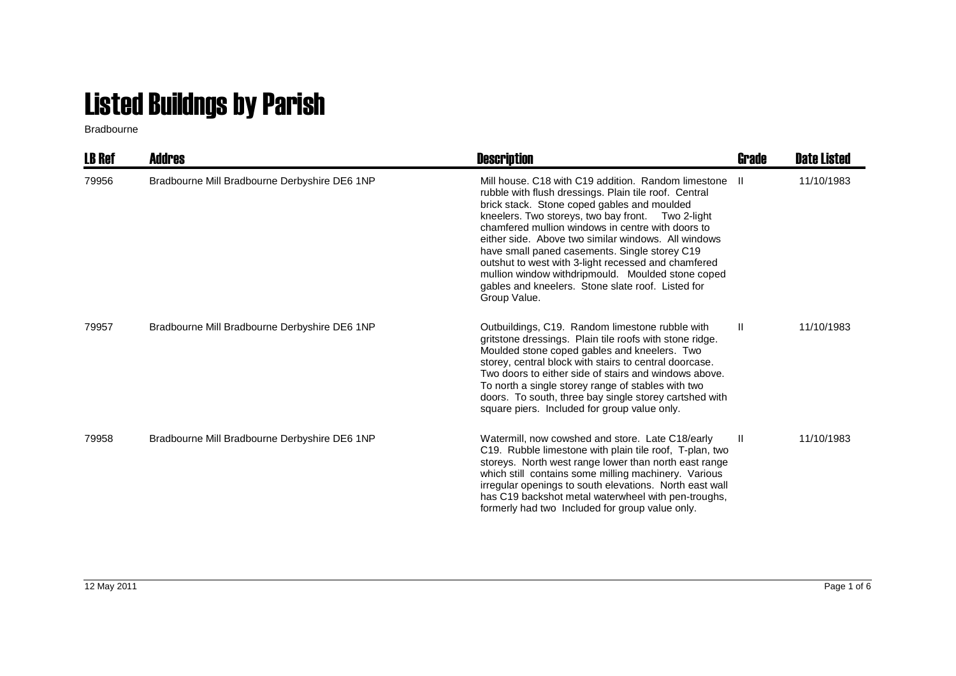## Listed Buildngs by Parish

Bradbourne

| <b>LB Ref</b> | <b>Addres</b>                                 | <b>Description</b>                                                                                                                                                                                                                                                                                                                                                                                                                                                                                                                                                | Grade        | <b>Date Listed</b> |
|---------------|-----------------------------------------------|-------------------------------------------------------------------------------------------------------------------------------------------------------------------------------------------------------------------------------------------------------------------------------------------------------------------------------------------------------------------------------------------------------------------------------------------------------------------------------------------------------------------------------------------------------------------|--------------|--------------------|
| 79956         | Bradbourne Mill Bradbourne Derbyshire DE6 1NP | Mill house, C18 with C19 addition. Random limestone II<br>rubble with flush dressings. Plain tile roof. Central<br>brick stack. Stone coped gables and moulded<br>kneelers. Two storeys, two bay front. Two 2-light<br>chamfered mullion windows in centre with doors to<br>either side. Above two similar windows. All windows<br>have small paned casements. Single storey C19<br>outshut to west with 3-light recessed and chamfered<br>mullion window withdripmould. Moulded stone coped<br>gables and kneelers. Stone slate roof. Listed for<br>Group Value. |              | 11/10/1983         |
| 79957         | Bradbourne Mill Bradbourne Derbyshire DE6 1NP | Outbuildings, C19. Random limestone rubble with<br>gritstone dressings. Plain tile roofs with stone ridge.<br>Moulded stone coped gables and kneelers. Two<br>storey, central block with stairs to central doorcase.<br>Two doors to either side of stairs and windows above.<br>To north a single storey range of stables with two<br>doors. To south, three bay single storey cartshed with<br>square piers. Included for group value only.                                                                                                                     | $\mathbf{H}$ | 11/10/1983         |
| 79958         | Bradbourne Mill Bradbourne Derbyshire DE6 1NP | Watermill, now cowshed and store. Late C18/early<br>C19. Rubble limestone with plain tile roof, T-plan, two<br>storeys. North west range lower than north east range<br>which still contains some milling machinery. Various<br>irregular openings to south elevations. North east wall<br>has C19 backshot metal waterwheel with pen-troughs,<br>formerly had two Included for group value only.                                                                                                                                                                 | H.           | 11/10/1983         |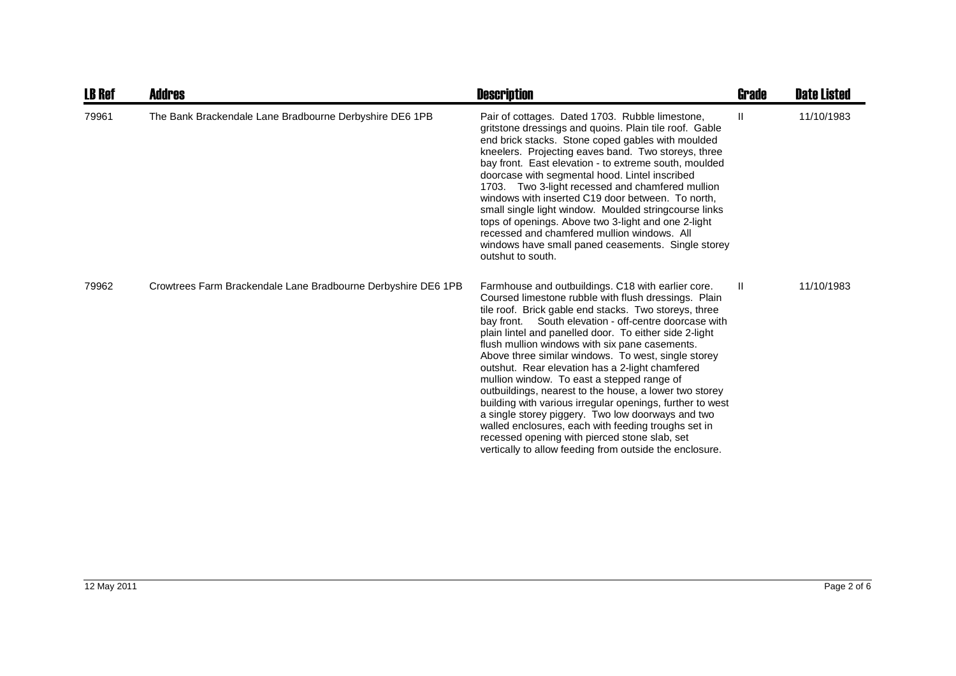| <b>LB Ref</b> | Addres                                                        | <b>Description</b>                                                                                                                                                                                                                                                                                                                                                                                                                                                                                                                                                                                                                                                                                                                                                                                                                              | <b>Grade</b>  | <b>Date Listed</b> |
|---------------|---------------------------------------------------------------|-------------------------------------------------------------------------------------------------------------------------------------------------------------------------------------------------------------------------------------------------------------------------------------------------------------------------------------------------------------------------------------------------------------------------------------------------------------------------------------------------------------------------------------------------------------------------------------------------------------------------------------------------------------------------------------------------------------------------------------------------------------------------------------------------------------------------------------------------|---------------|--------------------|
| 79961         | The Bank Brackendale Lane Bradbourne Derbyshire DE6 1PB       | Pair of cottages. Dated 1703. Rubble limestone,<br>gritstone dressings and quoins. Plain tile roof. Gable<br>end brick stacks. Stone coped gables with moulded<br>kneelers. Projecting eaves band. Two storeys, three<br>bay front. East elevation - to extreme south, moulded<br>doorcase with segmental hood. Lintel inscribed<br>1703. Two 3-light recessed and chamfered mullion<br>windows with inserted C19 door between. To north.<br>small single light window. Moulded stringcourse links<br>tops of openings. Above two 3-light and one 2-light<br>recessed and chamfered mullion windows. All<br>windows have small paned ceasements. Single storey<br>outshut to south.                                                                                                                                                             | Ш             | 11/10/1983         |
| 79962         | Crowtrees Farm Brackendale Lane Bradbourne Derbyshire DE6 1PB | Farmhouse and outbuildings. C18 with earlier core.<br>Coursed limestone rubble with flush dressings. Plain<br>tile roof. Brick gable end stacks. Two storeys, three<br>bay front. South elevation - off-centre doorcase with<br>plain lintel and panelled door. To either side 2-light<br>flush mullion windows with six pane casements.<br>Above three similar windows. To west, single storey<br>outshut. Rear elevation has a 2-light chamfered<br>mullion window. To east a stepped range of<br>outbuildings, nearest to the house, a lower two storey<br>building with various irregular openings, further to west<br>a single storey piggery. Two low doorways and two<br>walled enclosures, each with feeding troughs set in<br>recessed opening with pierced stone slab, set<br>vertically to allow feeding from outside the enclosure. | $\mathbf{II}$ | 11/10/1983         |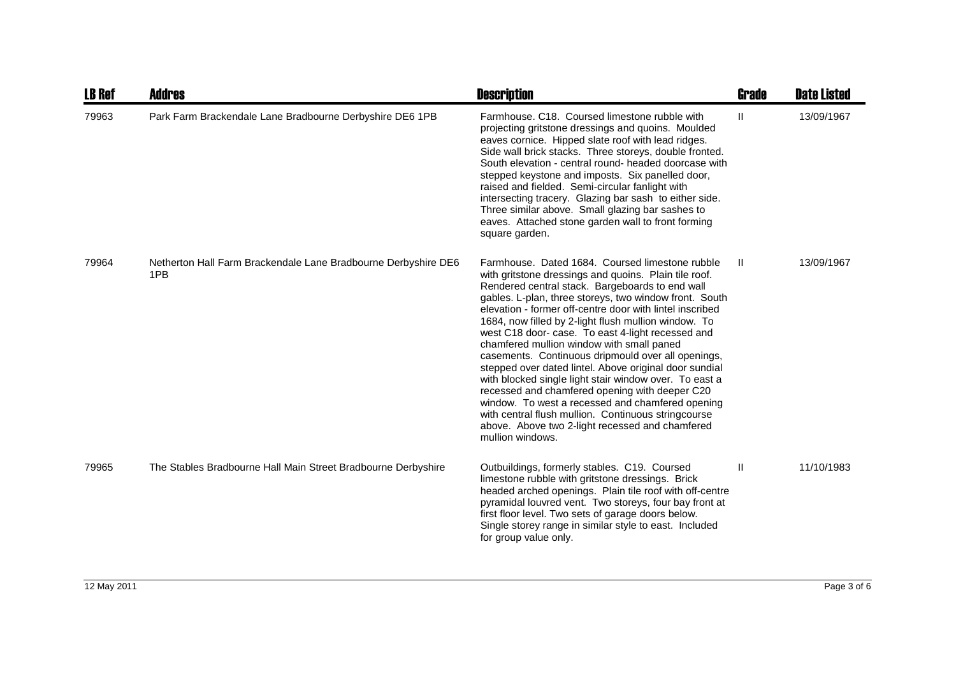| <b>LB Ref</b> | <b>Addres</b>                                                         | <b>Description</b>                                                                                                                                                                                                                                                                                                                                                                                                                                                                                                                                                                                                                                                                                                                                                                                                                                        | <b>Grade</b> | <b>Date Listed</b> |
|---------------|-----------------------------------------------------------------------|-----------------------------------------------------------------------------------------------------------------------------------------------------------------------------------------------------------------------------------------------------------------------------------------------------------------------------------------------------------------------------------------------------------------------------------------------------------------------------------------------------------------------------------------------------------------------------------------------------------------------------------------------------------------------------------------------------------------------------------------------------------------------------------------------------------------------------------------------------------|--------------|--------------------|
| 79963         | Park Farm Brackendale Lane Bradbourne Derbyshire DE6 1PB              | Farmhouse, C18. Coursed limestone rubble with<br>projecting gritstone dressings and quoins. Moulded<br>eaves cornice. Hipped slate roof with lead ridges.<br>Side wall brick stacks. Three storeys, double fronted.<br>South elevation - central round- headed doorcase with<br>stepped keystone and imposts. Six panelled door,<br>raised and fielded. Semi-circular fanlight with<br>intersecting tracery. Glazing bar sash to either side.<br>Three similar above. Small glazing bar sashes to<br>eaves. Attached stone garden wall to front forming<br>square garden.                                                                                                                                                                                                                                                                                 | $\mathbf{H}$ | 13/09/1967         |
| 79964         | Netherton Hall Farm Brackendale Lane Bradbourne Derbyshire DE6<br>1PB | Farmhouse. Dated 1684. Coursed limestone rubble<br>with gritstone dressings and quoins. Plain tile roof.<br>Rendered central stack. Bargeboards to end wall<br>gables. L-plan, three storeys, two window front. South<br>elevation - former off-centre door with lintel inscribed<br>1684, now filled by 2-light flush mullion window. To<br>west C18 door- case. To east 4-light recessed and<br>chamfered mullion window with small paned<br>casements. Continuous dripmould over all openings,<br>stepped over dated lintel. Above original door sundial<br>with blocked single light stair window over. To east a<br>recessed and chamfered opening with deeper C20<br>window. To west a recessed and chamfered opening<br>with central flush mullion. Continuous stringcourse<br>above. Above two 2-light recessed and chamfered<br>mullion windows. | H.           | 13/09/1967         |
| 79965         | The Stables Bradbourne Hall Main Street Bradbourne Derbyshire         | Outbuildings, formerly stables. C19. Coursed<br>limestone rubble with gritstone dressings. Brick<br>headed arched openings. Plain tile roof with off-centre<br>pyramidal louvred vent. Two storeys, four bay front at<br>first floor level. Two sets of garage doors below.<br>Single storey range in similar style to east. Included<br>for group value only.                                                                                                                                                                                                                                                                                                                                                                                                                                                                                            | $\mathbf{H}$ | 11/10/1983         |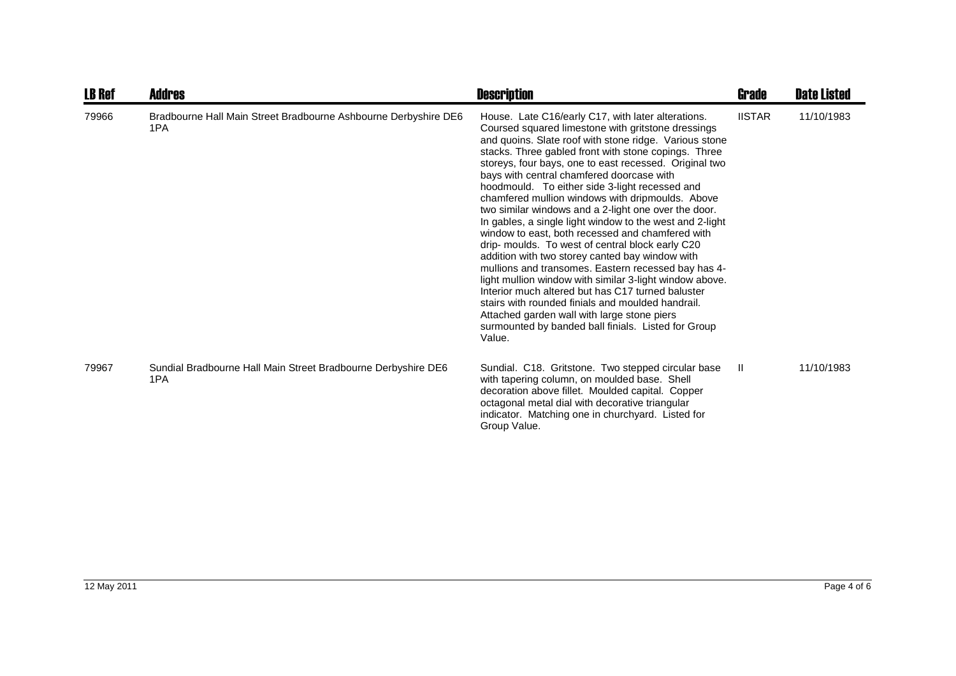| <b>LB Ref</b> | <b>Addres</b>                                                          | <b>Description</b>                                                                                                                                                                                                                                                                                                                                                                                                                                                                                                                                                                                                                                                                                                                                                                                                                                                                                                                                                                                                                                                 | <b>Grade</b>  | <b>Date Listed</b> |
|---------------|------------------------------------------------------------------------|--------------------------------------------------------------------------------------------------------------------------------------------------------------------------------------------------------------------------------------------------------------------------------------------------------------------------------------------------------------------------------------------------------------------------------------------------------------------------------------------------------------------------------------------------------------------------------------------------------------------------------------------------------------------------------------------------------------------------------------------------------------------------------------------------------------------------------------------------------------------------------------------------------------------------------------------------------------------------------------------------------------------------------------------------------------------|---------------|--------------------|
| 79966         | Bradbourne Hall Main Street Bradbourne Ashbourne Derbyshire DE6<br>1PA | House. Late C16/early C17, with later alterations.<br>Coursed squared limestone with gritstone dressings<br>and quoins. Slate roof with stone ridge. Various stone<br>stacks. Three gabled front with stone copings. Three<br>storeys, four bays, one to east recessed. Original two<br>bays with central chamfered doorcase with<br>hoodmould. To either side 3-light recessed and<br>chamfered mullion windows with dripmoulds. Above<br>two similar windows and a 2-light one over the door.<br>In gables, a single light window to the west and 2-light<br>window to east, both recessed and chamfered with<br>drip- moulds. To west of central block early C20<br>addition with two storey canted bay window with<br>mullions and transomes. Eastern recessed bay has 4-<br>light mullion window with similar 3-light window above.<br>Interior much altered but has C17 turned baluster<br>stairs with rounded finials and moulded handrail.<br>Attached garden wall with large stone piers<br>surmounted by banded ball finials. Listed for Group<br>Value. | <b>IISTAR</b> | 11/10/1983         |
| 79967         | Sundial Bradbourne Hall Main Street Bradbourne Derbyshire DE6<br>1PA   | Sundial. C18. Gritstone. Two stepped circular base<br>with tapering column, on moulded base. Shell<br>decoration above fillet. Moulded capital. Copper<br>octagonal metal dial with decorative triangular<br>indicator. Matching one in churchyard. Listed for<br>Group Value.                                                                                                                                                                                                                                                                                                                                                                                                                                                                                                                                                                                                                                                                                                                                                                                     | $\mathbf{H}$  | 11/10/1983         |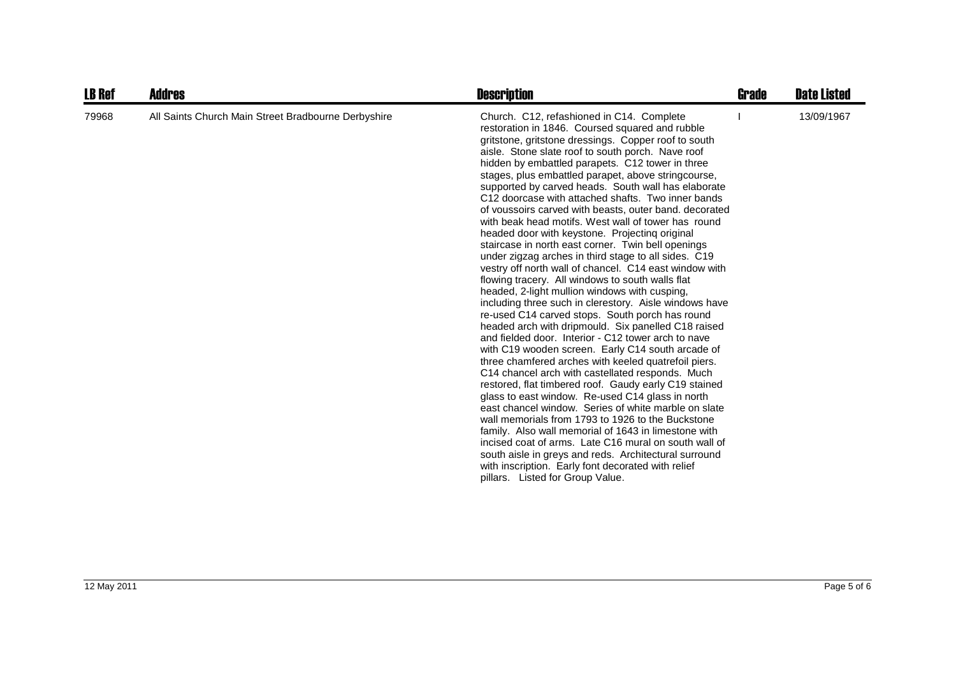| <b>LB Ref</b> | <b>Addres</b>                                       | <b>Description</b>                                                                                                                                                                                                                                                                                                                                                                                                                                                                                                                                                                                                                                                                                                                                                                                                                                                                                                                                                                                                                                                                                                                                                                                                                                                                                                                                                                                                                                                                                                                                                                                                                                                                                                                                                           | Grade | <b>Date Listed</b> |
|---------------|-----------------------------------------------------|------------------------------------------------------------------------------------------------------------------------------------------------------------------------------------------------------------------------------------------------------------------------------------------------------------------------------------------------------------------------------------------------------------------------------------------------------------------------------------------------------------------------------------------------------------------------------------------------------------------------------------------------------------------------------------------------------------------------------------------------------------------------------------------------------------------------------------------------------------------------------------------------------------------------------------------------------------------------------------------------------------------------------------------------------------------------------------------------------------------------------------------------------------------------------------------------------------------------------------------------------------------------------------------------------------------------------------------------------------------------------------------------------------------------------------------------------------------------------------------------------------------------------------------------------------------------------------------------------------------------------------------------------------------------------------------------------------------------------------------------------------------------------|-------|--------------------|
| 79968         | All Saints Church Main Street Bradbourne Derbyshire | Church. C12, refashioned in C14. Complete<br>restoration in 1846. Coursed squared and rubble<br>gritstone, gritstone dressings. Copper roof to south<br>aisle. Stone slate roof to south porch. Nave roof<br>hidden by embattled parapets. C12 tower in three<br>stages, plus embattled parapet, above string course,<br>supported by carved heads. South wall has elaborate<br>C12 doorcase with attached shafts. Two inner bands<br>of voussoirs carved with beasts, outer band, decorated<br>with beak head motifs. West wall of tower has round<br>headed door with keystone. Projecting original<br>staircase in north east corner. Twin bell openings<br>under zigzag arches in third stage to all sides. C19<br>vestry off north wall of chancel. C14 east window with<br>flowing tracery. All windows to south walls flat<br>headed, 2-light mullion windows with cusping,<br>including three such in clerestory. Aisle windows have<br>re-used C14 carved stops. South porch has round<br>headed arch with dripmould. Six panelled C18 raised<br>and fielded door. Interior - C12 tower arch to nave<br>with C19 wooden screen. Early C14 south arcade of<br>three chamfered arches with keeled quatrefoil piers.<br>C14 chancel arch with castellated responds. Much<br>restored, flat timbered roof. Gaudy early C19 stained<br>glass to east window. Re-used C14 glass in north<br>east chancel window. Series of white marble on slate<br>wall memorials from 1793 to 1926 to the Buckstone<br>family. Also wall memorial of 1643 in limestone with<br>incised coat of arms. Late C16 mural on south wall of<br>south aisle in greys and reds. Architectural surround<br>with inscription. Early font decorated with relief<br>pillars. Listed for Group Value. |       | 13/09/1967         |